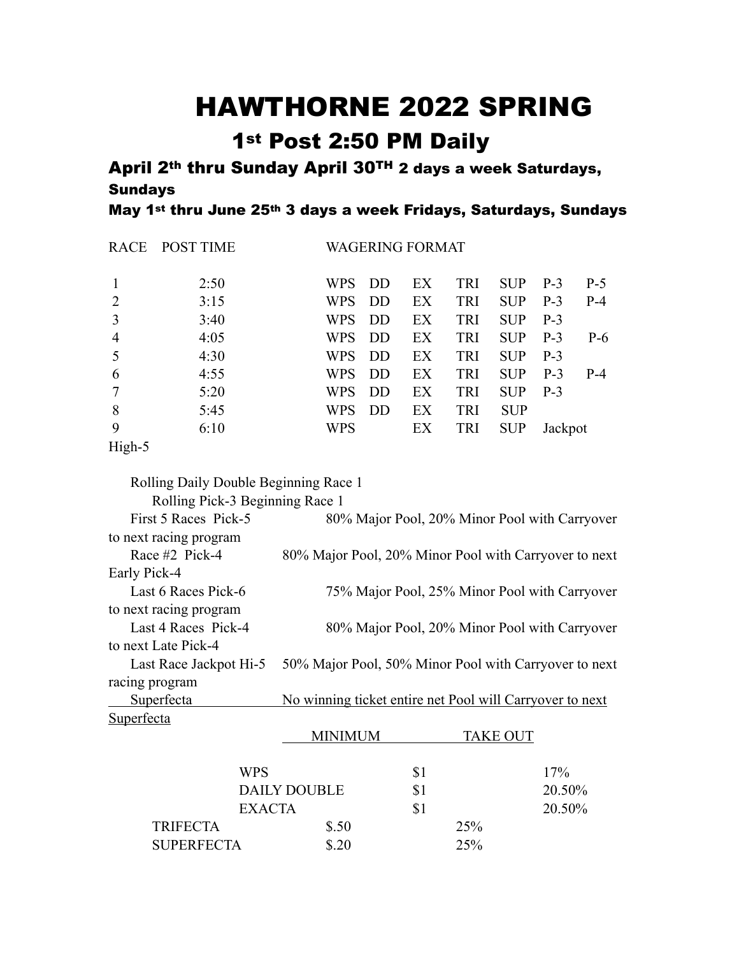## HAWTHORNE 2022 SPRING

## 1st Post 2:50 PM Daily

April 2th thru Sunday April 30TH 2 days a week Saturdays, Sundays

May 1st thru June 25th 3 days a week Fridays, Saturdays, Sundays

| RACE           | <b>POST TIME</b> |            |           | <b>WAGERING FORMAT</b> |            |            |         |       |
|----------------|------------------|------------|-----------|------------------------|------------|------------|---------|-------|
| $\overline{1}$ | 2:50             | <b>WPS</b> | DD        | EX                     | <b>TRI</b> | <b>SUP</b> | $P-3$   | $P-5$ |
| 2              | 3:15             | <b>WPS</b> | <b>DD</b> | EX                     | TRI        | <b>SUP</b> | $P-3$   | $P-4$ |
| 3              | 3:40             | <b>WPS</b> | DD        | EX                     | TRI        | <b>SUP</b> | $P-3$   |       |
| $\overline{4}$ | 4:05             | <b>WPS</b> | DD        | EX                     | TRI        | <b>SUP</b> | $P-3$   | $P-6$ |
| $\overline{5}$ | 4:30             | <b>WPS</b> | DD        | EX                     | TRI        | <b>SUP</b> | $P-3$   |       |
| 6              | 4:55             | <b>WPS</b> | DD        | EX                     | TRI        | <b>SUP</b> | $P-3$   | $P-4$ |
| $\overline{7}$ | 5:20             | <b>WPS</b> | <b>DD</b> | EX                     | TRI        | <b>SUP</b> | $P-3$   |       |
| 8              | 5:45             | WPS        | <b>DD</b> | EX                     | <b>TRI</b> | <b>SUP</b> |         |       |
| 9              | 6:10             | <b>WPS</b> |           | EX                     | <b>TRI</b> | <b>SUP</b> | Jackpot |       |
| --- -          |                  |            |           |                        |            |            |         |       |

## High-5

Rolling Daily Double Beginning Race 1

Rolling Pick-3 Beginning Race 1

| First 5 Races Pick-5   | 80% Major Pool, 20% Minor Pool with Carryover            |
|------------------------|----------------------------------------------------------|
| to next racing program |                                                          |
| Race #2 Pick-4         | 80% Major Pool, 20% Minor Pool with Carryover to next    |
| Early Pick-4           |                                                          |
| Last 6 Races Pick-6    | 75% Major Pool, 25% Minor Pool with Carryover            |
| to next racing program |                                                          |
| Last 4 Races Pick-4    | 80% Major Pool, 20% Minor Pool with Carryover            |
| to next Late Pick-4    |                                                          |
| Last Race Jackpot Hi-5 | 50% Major Pool, 50% Minor Pool with Carryover to next    |
| racing program         |                                                          |
| Superfecta             | No winning ticket entire net Pool will Carryover to next |
| Superfecta             |                                                          |

|                     | MINIMUM |     | <b>TAKE OUT</b> |        |
|---------------------|---------|-----|-----------------|--------|
| <b>WPS</b>          |         | \$1 |                 | 17%    |
| <b>DAILY DOUBLE</b> |         |     |                 | 20.50% |
| <b>EXACTA</b>       |         | \$1 |                 | 20.50% |
| <b>TRIFECTA</b>     | \$.50   |     | 25%             |        |
| <b>SUPERFECTA</b>   | \$.20   |     | 25%             |        |